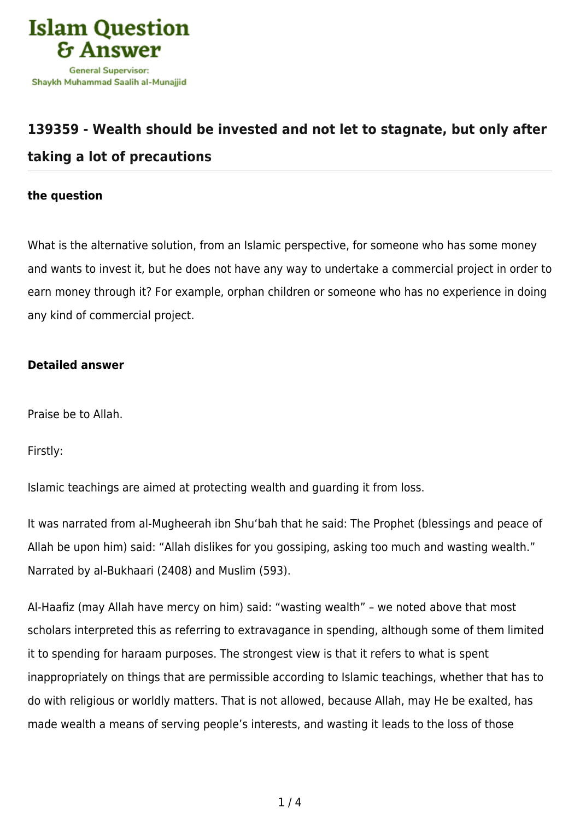

## **[139359 - Wealth should be invested and not let to stagnate, but only after](https://islamqa.com/en/answers/139359/wealth-should-be-invested-and-not-let-to-stagnate-but-only-after-taking-a-lot-of-precautions) [taking a lot of precautions](https://islamqa.com/en/answers/139359/wealth-should-be-invested-and-not-let-to-stagnate-but-only-after-taking-a-lot-of-precautions)**

## **the question**

What is the alternative solution, from an Islamic perspective, for someone who has some money and wants to invest it, but he does not have any way to undertake a commercial project in order to earn money through it? For example, orphan children or someone who has no experience in doing any kind of commercial project.

## **Detailed answer**

Praise be to Allah.

Firstly:

Islamic teachings are aimed at protecting wealth and guarding it from loss.

It was narrated from al-Mugheerah ibn Shu'bah that he said: The Prophet (blessings and peace of Allah be upon him) said: "Allah dislikes for you gossiping, asking too much and wasting wealth." Narrated by al-Bukhaari (2408) and Muslim (593).

Al-Haafiz (may Allah have mercy on him) said: "wasting wealth" – we noted above that most scholars interpreted this as referring to extravagance in spending, although some of them limited it to spending for haraam purposes. The strongest view is that it refers to what is spent inappropriately on things that are permissible according to Islamic teachings, whether that has to do with religious or worldly matters. That is not allowed, because Allah, may He be exalted, has made wealth a means of serving people's interests, and wasting it leads to the loss of those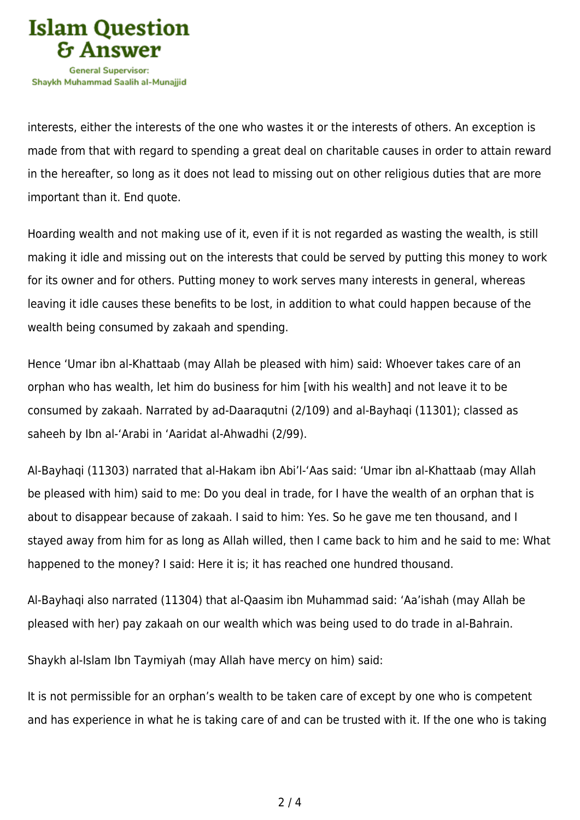

interests, either the interests of the one who wastes it or the interests of others. An exception is made from that with regard to spending a great deal on charitable causes in order to attain reward in the hereafter, so long as it does not lead to missing out on other religious duties that are more important than it. End quote.

Hoarding wealth and not making use of it, even if it is not regarded as wasting the wealth, is still making it idle and missing out on the interests that could be served by putting this money to work for its owner and for others. Putting money to work serves many interests in general, whereas leaving it idle causes these benefits to be lost, in addition to what could happen because of the wealth being consumed by zakaah and spending.

Hence 'Umar ibn al-Khattaab (may Allah be pleased with him) said: Whoever takes care of an orphan who has wealth, let him do business for him [with his wealth] and not leave it to be consumed by zakaah. Narrated by ad-Daaraqutni (2/109) and al-Bayhaqi (11301); classed as saheeh by Ibn al-'Arabi in 'Aaridat al-Ahwadhi (2/99).

Al-Bayhaqi (11303) narrated that al-Hakam ibn Abi'l-'Aas said: 'Umar ibn al-Khattaab (may Allah be pleased with him) said to me: Do you deal in trade, for I have the wealth of an orphan that is about to disappear because of zakaah. I said to him: Yes. So he gave me ten thousand, and I stayed away from him for as long as Allah willed, then I came back to him and he said to me: What happened to the money? I said: Here it is; it has reached one hundred thousand.

Al-Bayhaqi also narrated (11304) that al-Qaasim ibn Muhammad said: 'Aa'ishah (may Allah be pleased with her) pay zakaah on our wealth which was being used to do trade in al-Bahrain.

Shaykh al-Islam Ibn Taymiyah (may Allah have mercy on him) said:

It is not permissible for an orphan's wealth to be taken care of except by one who is competent and has experience in what he is taking care of and can be trusted with it. If the one who is taking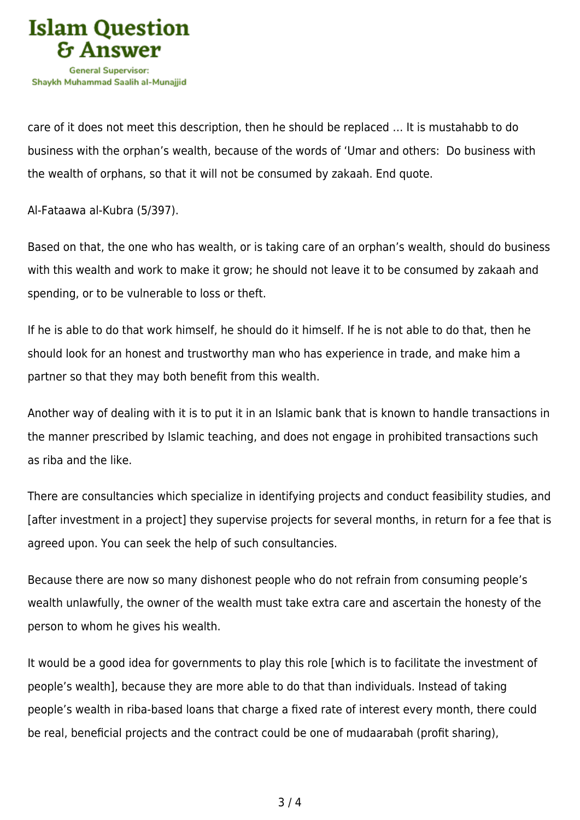

care of it does not meet this description, then he should be replaced … It is mustahabb to do business with the orphan's wealth, because of the words of 'Umar and others: Do business with the wealth of orphans, so that it will not be consumed by zakaah. End quote.

Al-Fataawa al-Kubra (5/397).

Based on that, the one who has wealth, or is taking care of an orphan's wealth, should do business with this wealth and work to make it grow; he should not leave it to be consumed by zakaah and spending, or to be vulnerable to loss or theft.

If he is able to do that work himself, he should do it himself. If he is not able to do that, then he should look for an honest and trustworthy man who has experience in trade, and make him a partner so that they may both benefit from this wealth.

Another way of dealing with it is to put it in an Islamic bank that is known to handle transactions in the manner prescribed by Islamic teaching, and does not engage in prohibited transactions such as riba and the like.

There are consultancies which specialize in identifying projects and conduct feasibility studies, and [after investment in a project] they supervise projects for several months, in return for a fee that is agreed upon. You can seek the help of such consultancies.

Because there are now so many dishonest people who do not refrain from consuming people's wealth unlawfully, the owner of the wealth must take extra care and ascertain the honesty of the person to whom he gives his wealth.

It would be a good idea for governments to play this role [which is to facilitate the investment of people's wealth], because they are more able to do that than individuals. Instead of taking people's wealth in riba-based loans that charge a fixed rate of interest every month, there could be real, beneficial projects and the contract could be one of mudaarabah (profit sharing),